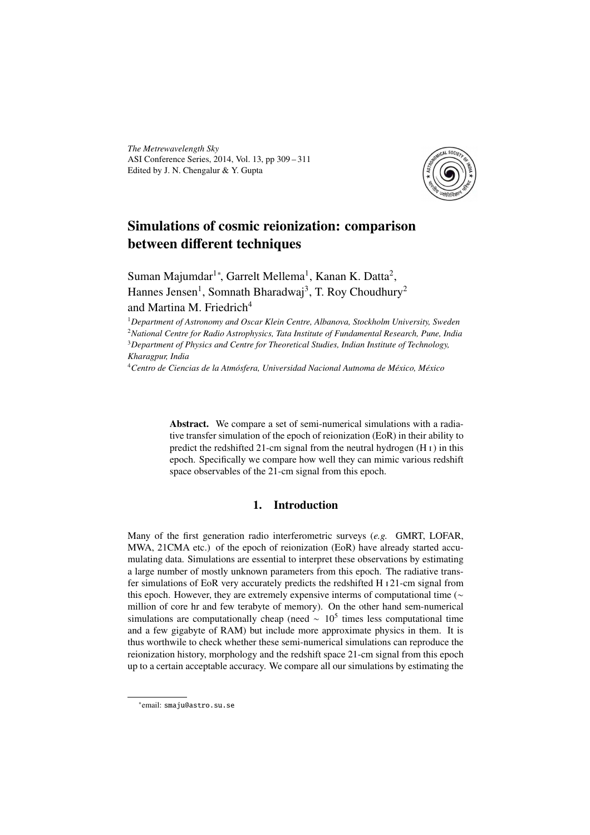*The Metrewavelength Sky* ASI Conference Series, 2014, Vol. 13, pp 309 – 311 Edited by J. N. Chengalur & Y. Gupta



# Simulations of cosmic reionization: comparison between different techniques

Suman Majumdar<sup>1</sup>\*, Garrelt Mellema<sup>1</sup>, Kanan K. Datta<sup>2</sup>, Hannes Jensen<sup>1</sup>, Somnath Bharadwaj<sup>3</sup>, T. Roy Choudhury<sup>2</sup> and Martina M. Friedrich<sup>4</sup>

*Department of Astronomy and Oscar Klein Centre, Albanova, Stockholm University, Sweden National Centre for Radio Astrophysics, Tata Institute of Fundamental Research, Pune, India Department of Physics and Centre for Theoretical Studies, Indian Institute of Technology, Kharagpur, India*

<sup>4</sup>*Centro de Ciencias de la Atmósfera, Universidad Nacional Autnoma de México, México*

Abstract. We compare a set of semi-numerical simulations with a radiative transfer simulation of the epoch of reionization (EoR) in their ability to predict the redshifted 21-cm signal from the neutral hydrogen  $(H_I)$  in this epoch. Specifically we compare how well they can mimic various redshift space observables of the 21-cm signal from this epoch.

## 1. Introduction

Many of the first generation radio interferometric surveys (*e.g.* GMRT, LOFAR, MWA, 21CMA etc.) of the epoch of reionization (EoR) have already started accumulating data. Simulations are essential to interpret these observations by estimating a large number of mostly unknown parameters from this epoch. The radiative transfer simulations of EoR very accurately predicts the redshifted H $_1$ 21-cm signal from this epoch. However, they are extremely expensive interms of computational time ( $\sim$ million of core hr and few terabyte of memory). On the other hand sem-numerical simulations are computationally cheap (need  $\sim 10^5$  times less computational time and a few gigabyte of RAM) but include more approximate physics in them. It is thus worthwile to check whether these semi-numerical simulations can reproduce the reionization history, morphology and the redshift space 21-cm signal from this epoch up to a certain acceptable accuracy. We compare all our simulations by estimating the

<sup>∗</sup> email: smaju@astro.su.se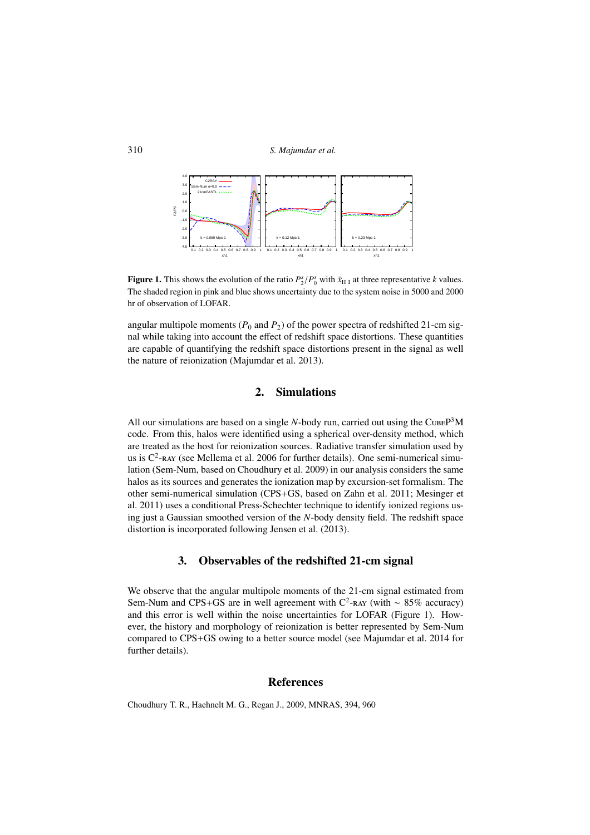310 *S. Majumdar et al.*



**Figure 1.** This shows the evolution of the ratio  $P_2^s/P_0^s$  with  $\bar{x}_{\text{H I}}$  at three representative *k* values. The shaded region in pink and blue shows uncertainty due to the system noise in 5000 and 2000 hr of observation of LOFAR.

angular multipole moments ( $P_0$  and  $P_2$ ) of the power spectra of redshifted 21-cm signal while taking into account the effect of redshift space distortions. These quantities are capable of quantifying the redshift space distortions present in the signal as well the nature of reionization (Majumdar et al. 2013).

#### 2. Simulations

All our simulations are based on a single  $N$ -body run, carried out using the CUBE $P<sup>3</sup>M$ code. From this, halos were identified using a spherical over-density method, which are treated as the host for reionization sources. Radiative transfer simulation used by us is  $C^2$ -ray (see Mellema et al. 2006 for further details). One semi-numerical simulation (Sem-Num, based on Choudhury et al. 2009) in our analysis considers the same halos as its sources and generates the ionization map by excursion-set formalism. The other semi-numerical simulation (CPS+GS, based on Zahn et al. 2011; Mesinger et al. 2011) uses a conditional Press-Schechter technique to identify ionized regions using just a Gaussian smoothed version of the *N*-body density field. The redshift space distortion is incorporated following Jensen et al. (2013).

### 3. Observables of the redshifted 21-cm signal

We observe that the angular multipole moments of the 21-cm signal estimated from Sem-Num and CPS+GS are in well agreement with C<sup>2</sup>-RAY (with ~ 85% accuracy) and this error is well within the noise uncertainties for LOFAR (Figure 1). However, the history and morphology of reionization is better represented by Sem-Num compared to CPS+GS owing to a better source model (see Majumdar et al. 2014 for further details).

#### References

Choudhury T. R., Haehnelt M. G., Regan J., 2009, MNRAS, 394, 960